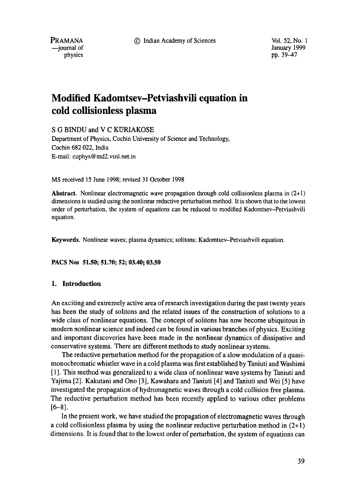9 Indian Academy of Sciences Vol. 52, No. 1

**PRAMANA**  -iournal of physics

January 1999 pp. 39-47

# **Modified Kadomtsev-Petviashvili equation in cold collisionless plasma**

S G BINDU and V C KURIAKOSE

Department of Physics, Cochin University of Science and Technology, Cochin 682 022, India E-mail: cuphys @md2.vsnl.net.in

MS received 15 June 1998; revised 31 October 1998

Abstract. Nonlinear electromagnetic wave propagation through cold collisionless plasma in (2+1) dimensions is studied using the nonlinear reductive perturbation method. It is shown that to the lowest order of perturbation, the system of equations can be reduced to modified Kadomtsev-Petviashvili equation.

Keywords. Nonlinear waves; plasma dynamics; solitons; Kadomtsev-Petviashvili equation.

**PACS Nos 51.50; 51.70; 52; 03.40; 03.50** 

#### **I. Introduction**

An exciting and extremely active area of research investigation during the past twenty years has been the study of solitons and the related issues of the construction of solutions to a wide class of nonlinear equations. The concept of solitons has now become ubiquitous in modern nonlinear science and indeed can be found in various branches of physics. Exciting and important discoveries have been made in the nonlinear dynamics of dissipative and conservative systems. There are different methods to study nonlinear systems.

The reductive perturbation method for the propagation of a slow modulation of a quasimonochromatic whistler wave in a cold plasma was first established by Taniuti and Washimi [ 1 ]. This method was generalized to a wide class of nonlinear wave systems by Taniuti and Yajima [2]. Kakutani and Ono [3], Kawahara and Taniuti [4] and Taniuti and Wei [5] have investigated the propagation of hydromagnetic waves through a cold collision free plasma. The reductive perturbation method has been recently applied to various other problems  $[6-8]$ .

In the present work, we have studied the propagation of electromagnetic waves through a cold collisionless plasma by using the nonlinear reductive perturbation method in  $(2+1)$ dimensions. It is found that to the lowest order of perturbation, the system of equations can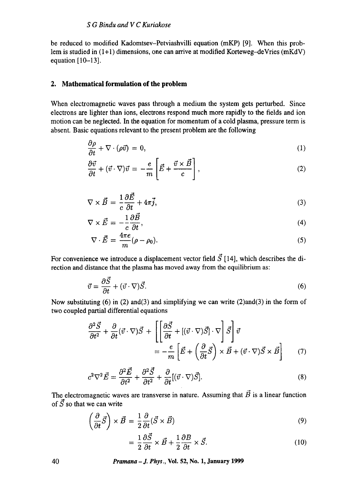be reduced to modified Kadomtsev-Petviashvilli equation (mKP) [9]. When this problem is studied in  $(1+1)$  dimensions, one can arrive at modified Korteweg-deVries (mKdV) equation [10-13].

### **2. Mathematical formulation of the problem**

When electromagnetic waves pass through a medium the system gets perturbed. Since electrons are lighter than ions, electrons respond much more rapidly to the fields and ion motion can be neglected. In the equation for momentum of a cold plasma, pressure term is absent. Basic equations relevant to the present problem are the following

$$
\frac{\partial \rho}{\partial t} + \nabla \cdot (\rho \vec{v}) = 0, \tag{1}
$$

$$
\frac{\partial \vec{v}}{\partial t} + (\vec{v} \cdot \nabla)\vec{v} = -\frac{e}{m} \left[ \vec{E} + \frac{\vec{v} \times \vec{B}}{c} \right],\tag{2}
$$

$$
\nabla \times \vec{B} = \frac{1}{c} \frac{\partial \vec{E}}{\partial t} + 4\pi \vec{j},\tag{3}
$$

$$
\nabla \times \vec{E} = -\frac{1}{c} \frac{\partial \vec{B}}{\partial t},\tag{4}
$$

$$
\nabla \cdot \vec{E} = \frac{4\pi e}{m} (\rho - \rho_0). \tag{5}
$$

For convenience we introduce a displacement vector field  $\vec{S}$  [14], which describes the direction and distance that the plasma has moved away from the equilibrium as:

$$
\vec{v} = \frac{\partial \vec{S}}{\partial t} + (\vec{v} \cdot \nabla)\vec{S}.\tag{6}
$$

Now substituting  $(6)$  in  $(2)$  and $(3)$  and simplifying we can write  $(2)$  and $(3)$  in the form of two coupled partial differential equations

$$
\frac{\partial^2 \vec{S}}{\partial t^2} + \frac{\partial}{\partial t} (\vec{v} \cdot \nabla) \vec{S} + \left[ \left[ \frac{\partial \vec{S}}{\partial t} + [(\vec{v} \cdot \nabla) \vec{S}] \cdot \nabla \right] \vec{S} \right] \vec{v}
$$

$$
= -\frac{e}{m} \left[ \vec{E} + \left( \frac{\partial}{\partial t} \vec{S} \right) \times \vec{B} + (\vec{v} \cdot \nabla) \vec{S} \times \vec{B} \right]
$$
(7)

$$
c^2 \nabla^2 \vec{E} = \frac{\partial^2 \vec{E}}{\partial t^2} + \frac{\partial^2 \vec{S}}{\partial t^2} + \frac{\partial}{\partial t} [(\vec{v} \cdot \nabla) \vec{S}]. \tag{8}
$$

The electromagnetic waves are transverse in nature. Assuming that  $\vec{B}$  is a linear function of  $\vec{S}$  so that we can write

$$
\left(\frac{\partial}{\partial t}\vec{S}\right) \times \vec{B} = \frac{1}{2}\frac{\partial}{\partial t}(\vec{S} \times \vec{B})\tag{9}
$$

$$
= \frac{1}{2} \frac{\partial \vec{S}}{\partial t} \times \vec{B} + \frac{1}{2} \frac{\partial B}{\partial t} \times \vec{S}.
$$
 (10)

**40** *Pramana - J. Phys.,* **Vol. 52, No. 1, January 1999**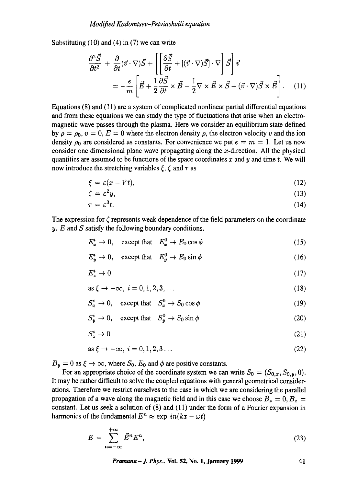Substituting (10) and (4) in (7) we can write

$$
\frac{\partial^2 \vec{S}}{\partial t^2} + \frac{\partial}{\partial t} (\vec{v} \cdot \nabla) \vec{S} + \left[ \left[ \frac{\partial \vec{S}}{\partial t} + [(\vec{v} \cdot \nabla) \vec{S}] \cdot \nabla \right] \vec{S} \right] \vec{v}
$$

$$
= -\frac{e}{m} \left[ \vec{E} + \frac{1}{2} \frac{\partial \vec{S}}{\partial t} \times \vec{B} - \frac{1}{2} \nabla \times \vec{E} \times \vec{S} + (\vec{v} \cdot \nabla) \vec{S} \times \vec{E} \right]. \quad (11)
$$

Equations (8) and (11) are a system of complicated nonlinear partial differential equations and from these equations we can study the type of fluctuations that arise when an electromagnetic wave passes through the plasma. Here we consider an equilibrium state defined by  $\rho = \rho_0$ ,  $v = 0$ ,  $E = 0$  where the electron density  $\rho$ , the electron velocity v and the ion density  $\rho_0$  are considered as constants. For convenience we put  $e = m = 1$ . Let us now consider one dimensional plane wave propagating along the  $x$ -direction. All the physical quantities are assumed to be functions of the space coordinates x and y and time t. We will now introduce the stretching variables  $\zeta$ ,  $\zeta$  and  $\tau$  as

$$
\xi = \varepsilon (x - Vt),\tag{12}
$$

$$
\zeta = \varepsilon^2 y,\tag{13}
$$

$$
\tau = \varepsilon^3 t. \tag{14}
$$

The expression for  $\zeta$  represents weak dependence of the field parameters on the coordinate  $y$ . E and S satisfy the following boundary conditions,

$$
E_x^i \to 0, \quad \text{except that} \quad E_x^0 \to E_0 \cos \phi \tag{15}
$$

$$
E_y^i \to 0, \quad \text{except that} \quad E_y^0 \to E_0 \sin \phi \tag{16}
$$

$$
E_z^i \to 0 \tag{17}
$$

$$
\text{as } \xi \to -\infty, \ i = 0, 1, 2, 3, \dots \tag{18}
$$

$$
S_x^i \to 0, \quad \text{except that} \quad S_x^0 \to S_0 \cos \phi \tag{19}
$$

$$
S_y^i \to 0, \quad \text{except that} \quad S_y^0 \to S_0 \sin \phi \tag{20}
$$

$$
S_z^i \to 0 \tag{21}
$$

$$
\text{as } \xi \to -\infty, \ i = 0, 1, 2, 3 \dots \tag{22}
$$

 $B_y = 0$  as  $\xi \to \infty$ , where  $S_0$ ,  $E_0$  and  $\phi$  are positive constants.

For an appropriate choice of the coordinate system we can write  $S_0 = (S_{0,x}, S_{0,y}, 0)$ . It may be rather difficult to solve the coupled equations with general geometrical considerations. Therefore we restrict ourselves to the case in which we are considering the parallel propagation of a wave along the magnetic field and in this case we choose  $B_z = 0$ ,  $B_x = 0$ constant. Let us seek a solution of (8) and (11) under the form of a Fourier expansion in harmonics of the fundamental  $E^n \approx \exp \, in(kx - \omega t)$ 

$$
E = \sum_{n=-\infty}^{+\infty} \vec{E}^n E^n,
$$
\n(23)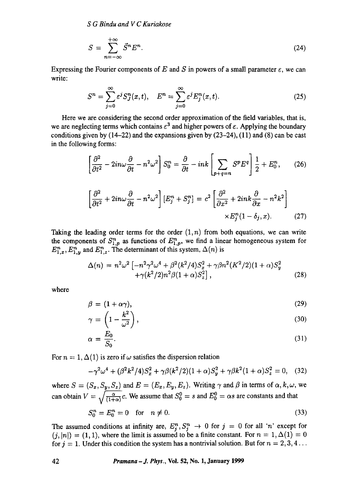*S G Bindu and V C Kuriakose* 

$$
S = \sum_{n=-\infty}^{+\infty} \vec{S}^n E^n.
$$
 (24)

Expressing the Fourier components of E and S in powers of a small parameter  $\varepsilon$ , we can write:

$$
S^{n} = \sum_{j=0}^{\infty} \varepsilon^{j} S_{J}^{n}(x, t), \quad E^{n} = \sum_{j=0}^{\infty} \varepsilon^{j} E_{j}^{n}(x, t).
$$
 (25)

Here we are considering the second order approximation of the field variables, that is, we are neglecting terms which contains  $\epsilon^3$  and higher powers of  $\epsilon$ . Applying the boundary conditions given by  $(14-22)$  and the expansions given by  $(23-24)$ ,  $(11)$  and  $(8)$  can be cast in the following forms:

$$
\left[\frac{\partial^2}{\partial t^2} - 2in\omega \frac{\partial}{\partial t} - n^2 \omega^2\right] S_0^n = \frac{\partial}{\partial t} - ink \left[\sum_{p+q=n} S^p E^q\right] \frac{1}{2} + E_0^n, \qquad (26)
$$

$$
\left[\frac{\partial^2}{\partial t^2} + 2in\omega \frac{\partial}{\partial t} - n^2 \omega^2\right] \left[E_j^n + S_j^n\right] = c^2 \left[\frac{\partial^2}{\partial x^2} + 2ink \frac{\partial}{\partial x} - n^2 k^2\right] \times E_j^n (1 - \delta_j, x). \qquad (27)
$$

Taking the leading order terms for the order  $(1, n)$  from both equations, we can write the components of  $S_{1,p}^n$  as functions of  $E_{1,p}^n$ , we find a linear homogeneous system for  $E_{1,x}^n$ ,  $E_{1,y}^n$  and  $E_{1,z}^n$ . The determinant of this system,  $\Delta(n)$  is

$$
\Delta(n) = n^2 \omega^2 \left[ -n^2 \gamma^2 \omega^4 + \beta^2 (k^2/4) S_x^2 + \gamma \beta n^2 (K^2/2) (1 + \alpha) S_y^2 + \gamma (k^2/2) n^2 \beta (1 + \alpha) S_z^2 \right],
$$
\n(28)

where

$$
\beta = (1 + \alpha \gamma),\tag{29}
$$

$$
\gamma = \left(1 - \frac{k^2}{\omega^2}\right),\tag{30}
$$

$$
\alpha = \frac{E_0}{S_0}.\tag{31}
$$

For  $n = 1, \Delta(1)$  is zero if  $\omega$  satisfies the dispersion relation

$$
-\gamma^2 \omega^4 + (\beta^2 k^2/4) S_x^2 + \gamma \beta (k^2/2)(1+\alpha) S_y^2 + \gamma \beta k^2 (1+\alpha) S_z^2 = 0, \quad (32)
$$

where  $S = (S_x, S_y, S_z)$  and  $E = (E_x, E_y, E_z)$ . Writing  $\gamma$  and  $\beta$  in terms of  $\alpha, k, \omega$ , we can obtain  $V = \sqrt{\frac{\alpha}{(1+\alpha)}}c$ . We assume that  $S_0^0 = s$  and  $E_0^0 = \alpha s$  are constants and that

$$
S_0^n = E_0^n = 0 \quad \text{for} \quad n \neq 0. \tag{33}
$$

The assumed conditions at infinity are,  $E_j^n$ ,  $S_j^n$   $\rightarrow$  0 for  $j = 0$  for all 'n' except for  $(j, |n|) = (1, 1)$ , where the limit is assumed to be a finite constant. For  $n = 1, \Delta(1) = 0$ for  $j = 1$ . Under this condition the system has a nontrivial solution. But for  $n = 2, 3, 4...$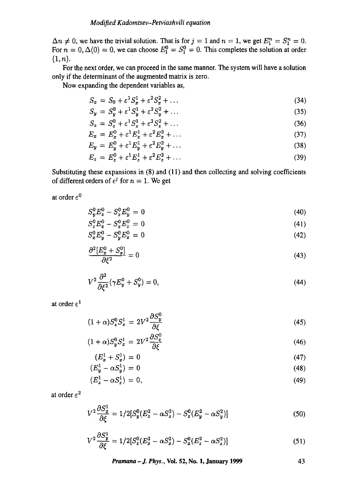$\Delta n \neq 0$ , we have the trivial solution. That is for  $j = 1$  and  $n = 1$ , we get  $E_1^n = S_1^n = 0$ . For  $n = 0, \Delta(0) = 0$ , we can choose  $E_1^0 = S_1^0 = 0$ . This completes the solution at order  $(1, n).$ 

For the next order, we can proceed in the same manner. The system will have a solution only if the determinant of the augmented matrix is zero.

Now expanding the dependent variables as,

$$
S_x = S_0 + \varepsilon^1 S_x^1 + \varepsilon^2 S_x^2 + \dots \tag{34}
$$

$$
S_y = S_y^0 + \varepsilon^1 S_y^1 + \varepsilon^2 S_y^2 + \dots \tag{35}
$$

$$
S_z = S_z^0 + \varepsilon^1 S_z^1 + \varepsilon^2 S_z^2 + \dots \tag{36}
$$

$$
E_x = E_x^0 + \varepsilon^1 E_x^1 + \varepsilon^2 E_x^2 + \dots \tag{37}
$$

$$
E_y = E_y^0 + \varepsilon^1 E_y^1 + \varepsilon^2 E_y^2 + \dots \tag{38}
$$

$$
E_z = E_z^0 + \varepsilon^1 E_z^1 + \varepsilon^2 E_z^2 + \dots \tag{39}
$$

Substituting these expansions in (8) and (11) and then collecting and solving coefficients of different orders of  $\epsilon^j$  for  $n = 1$ . We get

at order  $\varepsilon^0$ 

$$
S_v^0 E_z^0 - S_z^0 E_v^0 = 0 \tag{40}
$$

$$
S_z^0 E_x^0 - S_x^0 E_z^0 = 0 \tag{41}
$$

$$
S_x^0 E_y^0 - S_y^0 E_x^0 = 0 \tag{42}
$$

$$
\frac{\partial^2 [E_x^0 + S_x^0]}{\partial \xi^2} = 0\tag{43}
$$

$$
V^{2} \frac{\partial^{2}}{\partial \xi^{2}} (\gamma E_{y}^{0} + S_{y}^{0}) = 0, \qquad (44)
$$

at order  $\varepsilon^1$ 

$$
(1+\alpha)S_z^0 S_x^1 = 2V^2 \frac{\partial S_y^0}{\partial \xi} \tag{45}
$$

$$
(1+\alpha)S_y^0 S_x^1 = 2V^2 \frac{\partial S_z^0}{\partial \xi} \tag{46}
$$

$$
(E_x^1 + S_x^1) = 0 \tag{47}
$$

$$
(E_y^1 - \alpha S_y^1) = 0 \tag{48}
$$

$$
(E_z^1 - \alpha S_z^1) = 0,\t\t(49)
$$

at order  $\varepsilon^2$ 

$$
V^2 \frac{\partial S_x^1}{\partial \xi} = 1/2[S_y^0(E_z^2 - \alpha S_z^2) - S_z^0(E_y^2 - \alpha S_y^2)]
$$
\n(50)

$$
V^2 \frac{\partial S_y^1}{\partial \xi} = 1/2 [S_z^0 (E_x^2 - \alpha S_x^2) - S_x^0 (E_z^2 - \alpha S_z^2)] \tag{51}
$$

*Pramana - J. Phys.,* **Yol. 52, No. 1, January 1999**  43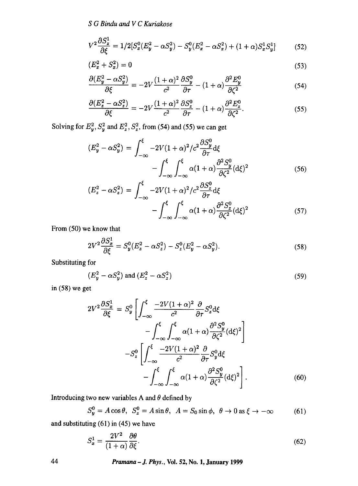*S G Bindu and V C Kuriakose* 

$$
V^2 \frac{\partial S_z^1}{\partial \xi} = 1/2 [S_x^0 (E_y^2 - \alpha S_y^2) - S_y^0 (E_x^2 - \alpha S_x^2) + (1 + \alpha) S_x^1 S_y^1]
$$
(52)

$$
(E_x^2 + S_x^2) = 0 \tag{53}
$$

$$
\frac{\partial (E_y^2 - \alpha S_y^2)}{\partial \xi} = -2V \frac{(1+\alpha)^2}{c^2} \frac{\partial S_y^0}{\partial \tau} - (1+\alpha) \frac{\partial^2 E_y^0}{\partial \zeta^2}
$$
(54)

$$
\frac{\partial (E_z^2 - \alpha S_z^2)}{\partial \xi} = -2V \frac{(1+\alpha)^2}{c^2} \frac{\partial S_z^0}{\partial \tau} - (1+\alpha) \frac{\partial^2 E_z^0}{\partial \zeta^2}.
$$
(55)

Solving for  $E_y^2$ ,  $S_y^2$  and  $E_z^2$ ,  $S_z^2$ , from (54) and (55) we can get

$$
(E_y^2 - \alpha S_y^2) = \int_{-\infty}^{\xi} -2V(1+\alpha)^2/c^2 \frac{\partial S_y^0}{\partial \tau} d\xi
$$

$$
- \int_{-\infty}^{\xi} \int_{-\infty}^{\xi} \alpha(1+\alpha) \frac{\partial^2 S_y^0}{\partial \zeta^2} (d\xi)^2
$$
(56)

$$
(E_z^2 - \alpha S_z^2) = \int_{-\infty}^{\xi} -2V(1+\alpha)^2/c^2 \frac{\partial S_z^0}{\partial \tau} d\xi
$$

$$
-\int_{-\infty}^{\xi} \int_{-\infty}^{\xi} \alpha(1+\alpha) \frac{\partial^2 S_z^0}{\partial \zeta^2} (d\xi)^2
$$
(57)

From (50) we know that

$$
2V^2 \frac{\partial S_x^1}{\partial \xi} = S_y^0 (E_z^2 - \alpha S_z^2) - S_z^0 (E_y^2 - \alpha S_y^2). \tag{58}
$$

Substituting for

$$
(E_y^2 - \alpha S_y^2) \text{ and } (E_z^2 - \alpha S_z^2) \tag{59}
$$

in (58) we get

$$
2V^{2}\frac{\partial S_{x}^{1}}{\partial \xi} = S_{y}^{0} \left[ \int_{-\infty}^{\xi} \frac{-2V(1+\alpha)^{2}}{c^{2}} \frac{\partial}{\partial \tau} S_{z}^{0} d\xi - \int_{-\infty}^{\xi} \int_{-\infty}^{\xi} \alpha (1+\alpha) \frac{\partial^{2} S_{y}^{0}}{\partial \zeta^{2}} (d\xi)^{2} \right]
$$

$$
-S_{z}^{0} \left[ \int_{-\infty}^{\xi} \frac{-2V(1+\alpha)^{2}}{c^{2}} \frac{\partial}{\partial \tau} S_{y}^{0} d\xi - \int_{-\infty}^{\xi} \int_{-\infty}^{\xi} \alpha (1+\alpha) \frac{\partial^{2} S_{y}^{0}}{\partial \zeta^{2}} (d\xi)^{2} \right].
$$
(60)

Introducing two new variables A and  $\theta$  defined by

$$
S_y^0 = A\cos\theta, \ \ S_z^0 = A\sin\theta, \ \ A = S_0\sin\phi, \ \ \theta \to 0 \text{ as } \xi \to -\infty \tag{61}
$$

and substituting (61) in (45) we have

$$
S_x^1 = \frac{2V^2}{(1+\alpha)} \frac{\partial \theta}{\partial \xi}.
$$
\n(62)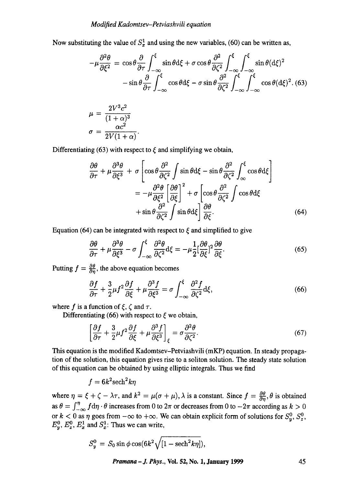Now substituting the value of  $S_x^1$  and using the new variables, (60) can be written as,

$$
-\mu \frac{\partial^2 \theta}{\partial \xi^2} = \cos \theta \frac{\partial}{\partial \tau} \int_{-\infty}^{\xi} \sin \theta d\xi + \sigma \cos \theta \frac{\partial^2}{\partial \zeta^2} \int_{-\infty}^{\xi} \int_{-\infty}^{\xi} \sin \theta (d\xi)^2
$$

$$
- \sin \theta \frac{\partial}{\partial \tau} \int_{-\infty}^{\xi} \cos \theta d\xi - \sigma \sin \theta \frac{\partial^2}{\partial \zeta^2} \int_{-\infty}^{\xi} \int_{-\infty}^{\xi} \cos \theta (d\xi)^2. (63)
$$

$$
\mu = \frac{2V^3 c^2}{(1+\alpha)^3}
$$

$$
\sigma = \frac{\alpha c^2}{2V(1+\alpha)}.
$$

Differentiating (63) with respect to  $\xi$  and simplifying we obtain,

$$
\frac{\partial \theta}{\partial \tau} + \mu \frac{\partial^3 \theta}{\partial \xi^3} + \sigma \left[ \cos \theta \frac{\partial^2}{\partial \zeta^2} \int \sin \theta \, d\xi - \sin \theta \frac{\partial^2}{\partial \zeta^2} \int_{\infty}^{\xi} \cos \theta \, d\xi \right]
$$

$$
= -\mu \frac{\partial^2 \theta}{\partial \xi^2} \left[ \frac{\partial \theta}{\partial \xi} \right]^2 + \sigma \left[ \cos \theta \frac{\partial^2}{\partial \zeta^2} \int \cos \theta \, d\xi \right]
$$

$$
+ \sin \theta \frac{\partial^2}{\partial \zeta^2} \int \sin \theta \, d\xi \right] \frac{\partial \theta}{\partial \xi}.
$$
(64)

Equation (64) can be integrated with respect to  $\xi$  and simplified to give

$$
\frac{\partial \theta}{\partial \tau} + \mu \frac{\partial^3 \theta}{\partial \xi^3} - \sigma \int_{-\infty}^{\xi} \frac{\partial^2 \theta}{\partial \zeta^2} d\xi = -\mu \frac{1}{2} [\frac{\partial \theta}{\partial \xi}]^2 \frac{\partial \theta}{\partial \xi}.
$$
(65)

Putting  $f = \frac{\partial \theta}{\partial n}$ , the above equation becomes

$$
\frac{\partial f}{\partial \tau} + \frac{3}{2} \mu f^2 \frac{\partial f}{\partial \xi} + \mu \frac{\partial^3 f}{\partial \xi^3} = \sigma \int_{-\infty}^{\xi} \frac{\partial^2 f}{\partial \zeta^2} d\xi,\tag{66}
$$

where f is a function of  $\xi$ ,  $\zeta$  and  $\tau$ .

Differentiating (66) with respect to  $\xi$  we obtain,

$$
\left[\frac{\partial f}{\partial \tau} + \frac{3}{2}\mu f^2 \frac{\partial f}{\partial \xi} + \mu \frac{\partial^3 f}{\partial \xi^3}\right]_{\xi} = \sigma \frac{\partial^2 \theta}{\partial \zeta^2}.
$$
\n(67)

This equation is the modified Kadomtsev-Petviashvili (mKP) equation. In steady propagation of the solution, this equation gives rise to a soliton solution. The steady state solution of this equation can be obtained by using elliptic integrals. Thus we find

$$
f=6k^2\mathrm{sech}^2k\eta
$$

where  $\eta = \xi + \zeta - \lambda \tau$ , and  $k^2 = \mu(\sigma + \mu)$ ,  $\lambda$  is a constant. Since  $f = \frac{\partial \theta}{\partial n}, \theta$  is obtained as  $\theta = \int_{-\infty}^{\eta} f d\eta \cdot \theta$  increases from 0 to  $2\pi$  or decreases from 0 to  $-2\pi$  according as  $k > 0$ or  $k < 0$  as  $\eta$  goes from  $-\infty$  to  $+\infty$ . We can obtain explicit form of solutions for  $S_y^0$ ,  $S_z^0$ ,  $E_y^0$ ,  $E_z^0$ ,  $E_x^1$  and  $S_x^1$ : Thus we can write,

$$
S_y^0 = S_0 \sin \phi \cos(6k^2 \sqrt{[1 - \mathrm{sech}^2 k \eta]}),
$$

*Pramana-J. Phys.,* **Vol. 52, No. 1, January 1999 45**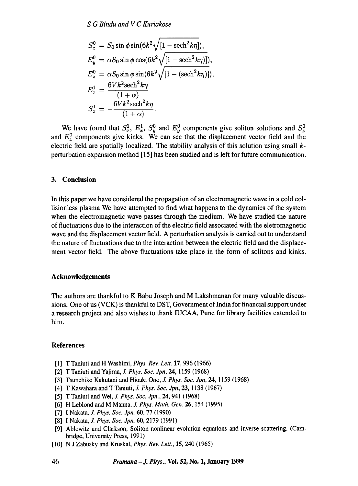$$
S_z^0 = S_0 \sin \phi \sin(6k^2 \sqrt{[1 - \mathrm{sech}^2 k \eta]}),
$$
  
\n
$$
E_y^0 = \alpha S_0 \sin \phi \cos(6k^2 \sqrt{[1 - \mathrm{sech}^2 k \eta]}),
$$
  
\n
$$
E_z^0 = \alpha S_0 \sin \phi \sin(6k^2 \sqrt{[1 - (\mathrm{sech}^2 k \eta)]}),
$$
  
\n
$$
E_x^1 = \frac{6Vk^2 \mathrm{sech}^2 k \eta}{(1 + \alpha)}
$$
  
\n
$$
S_x^1 = -\frac{6Vk^2 \mathrm{sech}^2 k \eta}{(1 + \alpha)}.
$$

We have found that  $S_x^1$ ,  $E_x^1$ ,  $S_y^0$  and  $E_y^0$  components give soliton solutions and  $S_z^0$ and  $E_z^{\vee}$  components give kinks. We can see that the displacement vector field and the electric field are spatially localized. The stability analysis of this solution using small  $k$ perturbation expansion method [15] has been studied and is left for future communication.

#### **3. Conclusion**

In this paper we have considered the propagation of an electromagnetic wave in a cold collisionless plasma We have attempted to find what happens to the dynamics of the system when the electromagnetic wave passes through the medium. We have studied the nature of fluctuations due to the interaction of the electric field associated with the eletromagnetic wave and the displacement vector field. A perturbation analysis is carried out to understand the nature of fluctuations due to the interaction between the electric field and the displacement vector field. The above fluctuations take place in the form of solitons and kinks.

#### **Acknowledgements**

The authors are thankful to K Babu Joseph and M Lakshmanan for many valuable discussions. One of us (VCK) is thankful to DST, Government of India for financial support under a research project and also wishes to thank IUCAA, Pune for library facilities extended to him.

#### **References**

- [1] T Taniuti and H Washimi, *Phys. Rev. Lett.* 17, 996 (1966)
- [2] T Taniuti and Yajima, *J. Phys. Soc. Jpn,* 24, 1159 (1968)
- [3] Tsunehiko Kakutani and Hioaki Ono, *J. Phys. Soc.Jpn,* 24, 1159 (1968)
- [4] T Kawahara and T Taniuti, *J. Phys. Soc. Jpn,* 23, 1138 (1967)
- [5] T Taniuti and Wei, *J. Phys. Soc. Jpn.,* 24, 941 (1968)
- [6] H Leblond and M Manna, *J. Phys. Math. Gen.* 26, 154 (1995)
- [7] I Nakata, *J. Phys. Soc. Jpn.* 60, 77 (1990)
- [8] I Nakata, *J. Phys. Soc. Jpn.* 60, 2179 (1991)
- [9] Ablowitz and Clarkson, Soliton nonlinear evolution equations and inverse scattering, (Cambridge, University Press, 1991)
- [10] N J Zabusky and Kruskal, *Phys. Rev. Lett.,* 15, 240 (1965)